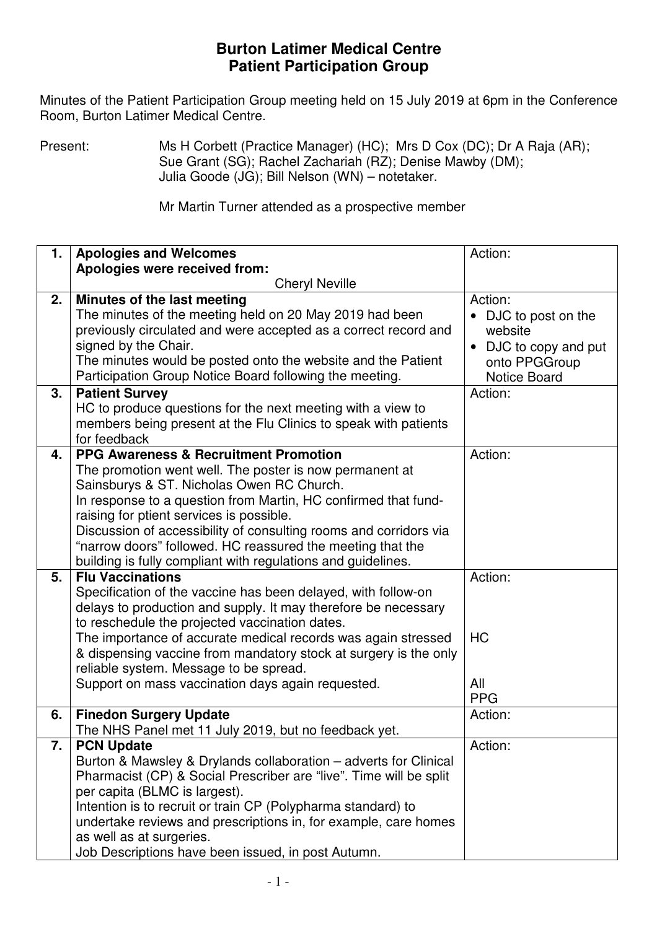## **Burton Latimer Medical Centre Patient Participation Group**

 Minutes of the Patient Participation Group meeting held on 15 July 2019 at 6pm in the Conference Room, Burton Latimer Medical Centre.

Present: Ms H Corbett (Practice Manager) (HC); Mrs D Cox (DC); Dr A Raja (AR); Sue Grant (SG); Rachel Zachariah (RZ); Denise Mawby (DM); Julia Goode (JG); Bill Nelson (WN) – notetaker.

Mr Martin Turner attended as a prospective member

| 1. | <b>Apologies and Welcomes</b>                                                                                                                                                                                                                                                                                                                                                                                                                                             | Action:                                                                                                                |
|----|---------------------------------------------------------------------------------------------------------------------------------------------------------------------------------------------------------------------------------------------------------------------------------------------------------------------------------------------------------------------------------------------------------------------------------------------------------------------------|------------------------------------------------------------------------------------------------------------------------|
|    | Apologies were received from:                                                                                                                                                                                                                                                                                                                                                                                                                                             |                                                                                                                        |
|    | <b>Cheryl Neville</b>                                                                                                                                                                                                                                                                                                                                                                                                                                                     |                                                                                                                        |
| 2. | Minutes of the last meeting<br>The minutes of the meeting held on 20 May 2019 had been<br>previously circulated and were accepted as a correct record and<br>signed by the Chair.<br>The minutes would be posted onto the website and the Patient<br>Participation Group Notice Board following the meeting.                                                                                                                                                              | Action:<br>• DJC to post on the<br>website<br>DJC to copy and put<br>$\bullet$<br>onto PPGGroup<br><b>Notice Board</b> |
| 3. | <b>Patient Survey</b>                                                                                                                                                                                                                                                                                                                                                                                                                                                     | Action:                                                                                                                |
|    | HC to produce questions for the next meeting with a view to<br>members being present at the Flu Clinics to speak with patients<br>for feedback                                                                                                                                                                                                                                                                                                                            |                                                                                                                        |
| 4. | <b>PPG Awareness &amp; Recruitment Promotion</b><br>The promotion went well. The poster is now permanent at<br>Sainsburys & ST. Nicholas Owen RC Church.<br>In response to a question from Martin, HC confirmed that fund-<br>raising for ptient services is possible.<br>Discussion of accessibility of consulting rooms and corridors via<br>"narrow doors" followed. HC reassured the meeting that the<br>building is fully compliant with regulations and guidelines. | Action:                                                                                                                |
| 5. | <b>Flu Vaccinations</b>                                                                                                                                                                                                                                                                                                                                                                                                                                                   | Action:                                                                                                                |
|    | Specification of the vaccine has been delayed, with follow-on<br>delays to production and supply. It may therefore be necessary<br>to reschedule the projected vaccination dates.<br>The importance of accurate medical records was again stressed<br>& dispensing vaccine from mandatory stock at surgery is the only<br>reliable system. Message to be spread.<br>Support on mass vaccination days again requested.                                                     | <b>HC</b><br>All<br><b>PPG</b>                                                                                         |
| 6. | <b>Finedon Surgery Update</b>                                                                                                                                                                                                                                                                                                                                                                                                                                             | Action:                                                                                                                |
|    | The NHS Panel met 11 July 2019, but no feedback yet.                                                                                                                                                                                                                                                                                                                                                                                                                      |                                                                                                                        |
| 7. | <b>PCN Update</b><br>Burton & Mawsley & Drylands collaboration – adverts for Clinical<br>Pharmacist (CP) & Social Prescriber are "live". Time will be split<br>per capita (BLMC is largest).<br>Intention is to recruit or train CP (Polypharma standard) to<br>undertake reviews and prescriptions in, for example, care homes<br>as well as at surgeries.<br>Job Descriptions have been issued, in post Autumn.                                                         | Action:                                                                                                                |